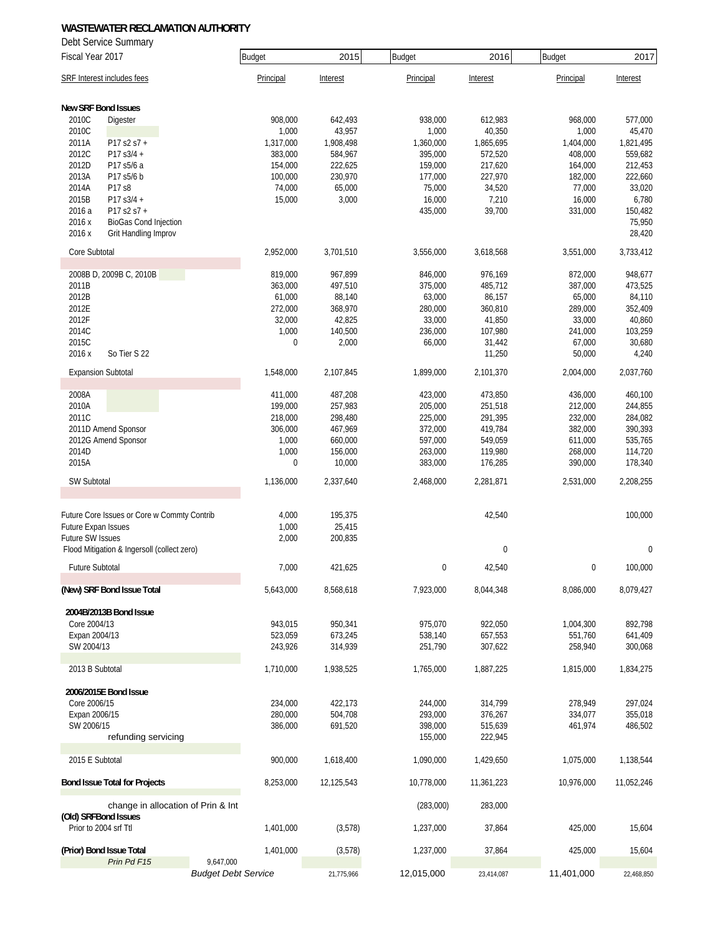Debt Service Summary

| Fiscal Year 2017                                                         | <b>Budget</b>                           | 2015              | Budget             | 2016               | <b>Budget</b>      | 2017               |
|--------------------------------------------------------------------------|-----------------------------------------|-------------------|--------------------|--------------------|--------------------|--------------------|
| SRF Interest includes fees                                               | Principal                               | Interest          | Principal          | Interest           | Principal          | Interest           |
| <b>New SRF Bond Issues</b>                                               |                                         |                   |                    |                    |                    |                    |
| 2010C<br>Digester                                                        | 908,000                                 | 642,493           | 938.000            | 612,983            | 968,000            | 577,000            |
| 2010C                                                                    | 1,000                                   | 43,957            | 1,000              | 40,350             | 1,000              | 45,470             |
| P17 s2 s7 +<br>2011A                                                     | 1,317,000                               | 1,908,498         | 1,360,000          | 1,865,695          | 1,404,000          | 1,821,495          |
| 2012C<br>P17 s3/4 +                                                      | 383,000                                 | 584,967           | 395,000            | 572,520            | 408,000            | 559,682            |
| 2012D<br>P17 s5/6 a                                                      | 154,000                                 | 222,625           | 159,000            | 217,620            | 164,000            | 212,453            |
| 2013A<br>P17 s5/6 b                                                      | 100,000                                 | 230,970           | 177,000            | 227,970            | 182,000            | 222,660            |
| 2014A<br>P17 s8                                                          | 74,000                                  | 65,000            | 75,000             | 34,520             | 77,000             | 33,020             |
| 2015B<br>P17 s3/4 +<br>2016 a<br>P17 s2 s7 +                             | 15,000                                  | 3,000             | 16,000<br>435,000  | 7,210<br>39,700    | 16,000<br>331,000  | 6,780<br>150,482   |
| 2016 x<br><b>BioGas Cond Injection</b><br>2016 x<br>Grit Handling Improv |                                         |                   |                    |                    |                    | 75,950<br>28,420   |
| Core Subtotal                                                            | 2,952,000                               | 3,701,510         | 3,556,000          | 3,618,568          | 3,551,000          | 3,733,412          |
|                                                                          |                                         |                   |                    |                    |                    |                    |
| 2008B D, 2009B C, 2010B                                                  | 819,000                                 | 967,899           | 846,000            | 976,169            | 872,000            | 948,677            |
| 2011B                                                                    | 363,000                                 | 497,510           | 375,000            | 485,712            | 387,000            | 473,525            |
| 2012B<br>2012E                                                           | 61,000<br>272,000                       | 88,140            | 63,000             | 86,157<br>360,810  | 65,000             | 84,110<br>352,409  |
| 2012F                                                                    | 32,000                                  | 368,970<br>42,825 | 280,000<br>33,000  | 41,850             | 289,000<br>33,000  | 40,860             |
| 2014C                                                                    | 1,000                                   | 140,500           | 236,000            | 107,980            | 241,000            | 103,259            |
| 2015C                                                                    | $\mathbf 0$                             | 2,000             | 66,000             | 31,442             | 67,000             | 30,680             |
| 2016 x<br>So Tier S 22                                                   |                                         |                   |                    | 11,250             | 50,000             | 4,240              |
| <b>Expansion Subtotal</b>                                                | 1,548,000                               | 2,107,845         | 1,899,000          | 2,101,370          | 2,004,000          | 2,037,760          |
|                                                                          |                                         |                   |                    |                    |                    |                    |
| 2008A                                                                    | 411,000                                 | 487,208           | 423,000            | 473,850            | 436,000            | 460,100            |
| 2010A                                                                    | 199,000                                 | 257,983           | 205,000            | 251,518            | 212,000            | 244,855            |
| 2011C                                                                    | 218,000                                 | 298,480           | 225,000            | 291,395            | 232,000            | 284,082            |
| 2011D Amend Sponsor                                                      | 306,000                                 | 467,969           | 372,000            | 419,784            | 382,000            | 390,393            |
| 2012G Amend Sponsor                                                      | 1,000                                   | 660,000           | 597,000            | 549,059            | 611,000            | 535,765            |
| 2014D<br>2015A                                                           | 1,000<br>$\boldsymbol{0}$               | 156,000<br>10,000 | 263,000<br>383,000 | 119,980<br>176,285 | 268,000<br>390,000 | 114,720<br>178,340 |
| SW Subtotal                                                              | 1,136,000                               | 2,337,640         | 2,468,000          | 2,281,871          | 2,531,000          | 2,208,255          |
|                                                                          |                                         |                   |                    |                    |                    |                    |
| Future Core Issues or Core w Commty Contrib                              | 4,000                                   | 195,375           |                    | 42,540             |                    | 100,000            |
| Future Expan Issues                                                      | 1,000                                   | 25,415            |                    |                    |                    |                    |
| Future SW Issues                                                         | 2,000                                   | 200,835           |                    |                    |                    |                    |
| Flood Mitigation & Ingersoll (collect zero)                              |                                         |                   |                    | $\mathbf 0$        |                    | $\mathbf{0}$       |
| <b>Future Subtotal</b>                                                   | 7,000                                   | 421,625           | $\boldsymbol{0}$   | 42,540             | $\boldsymbol{0}$   | 100,000            |
| (New) SRF Bond Issue Total                                               | 5,643,000                               | 8,568,618         | 7,923,000          | 8,044,348          | 8,086,000          | 8,079,427          |
| 2004B/2013B Bond Issue                                                   |                                         |                   |                    |                    |                    |                    |
| Core 2004/13                                                             | 943,015                                 | 950,341           | 975,070            | 922,050            | 1,004,300          | 892,798            |
| Expan 2004/13                                                            | 523,059                                 | 673,245           | 538,140            | 657,553            | 551,760            | 641,409            |
| SW 2004/13                                                               | 243,926                                 | 314,939           | 251,790            | 307,622            | 258,940            | 300,068            |
| 2013 B Subtotal                                                          | 1,710,000                               | 1,938,525         | 1,765,000          | 1,887,225          | 1,815,000          | 1,834,275          |
| 2006/2015E Bond Issue                                                    |                                         |                   |                    |                    |                    |                    |
| Core 2006/15                                                             | 234,000                                 | 422,173           | 244,000            | 314,799            | 278,949            | 297,024            |
| Expan 2006/15                                                            | 280,000                                 | 504,708           | 293,000            | 376,267            | 334,077            | 355,018            |
| SW 2006/15                                                               | 386,000                                 | 691,520           | 398,000            | 515,639            | 461,974            | 486,502            |
| refunding servicing                                                      |                                         |                   | 155,000            | 222,945            |                    |                    |
|                                                                          |                                         |                   |                    |                    |                    |                    |
| 2015 E Subtotal                                                          | 900,000                                 | 1,618,400         | 1,090,000          | 1,429,650          | 1,075,000          | 1,138,544          |
| <b>Bond Issue Total for Projects</b>                                     | 8,253,000                               | 12,125,543        | 10,778,000         | 11,361,223         | 10,976,000         | 11,052,246         |
| change in allocation of Prin & Int<br>(Old) SRFBond Issues               |                                         |                   | (283,000)          | 283,000            |                    |                    |
| Prior to 2004 srf Ttl                                                    | 1,401,000                               | (3,578)           | 1,237,000          | 37,864             | 425,000            | 15,604             |
| (Prior) Bond Issue Total                                                 | 1,401,000                               | (3,578)           | 1,237,000          | 37,864             | 425,000            | 15,604             |
| Prin Pd F15                                                              | 9,647,000<br><b>Budget Debt Service</b> | 21,775,966        | 12,015,000         | 23,414,087         | 11,401,000         | 22,468,850         |
|                                                                          |                                         |                   |                    |                    |                    |                    |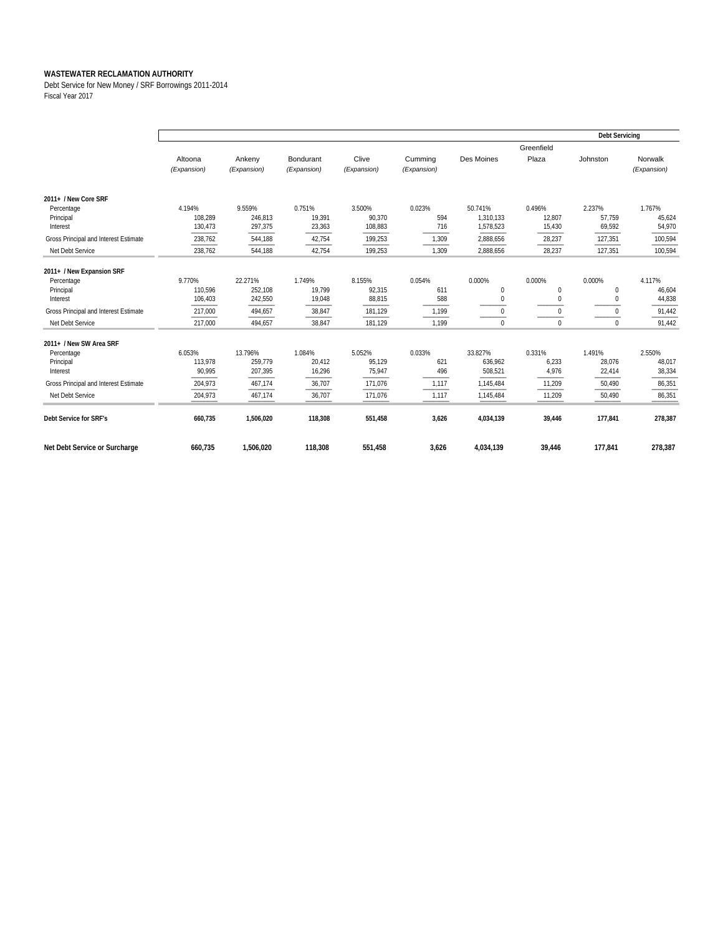Debt Service for New Money / SRF Borrowings 2011-2014 Fiscal Year 2017

|                                       | <b>Debt Servicing</b>  |                       |                          |                      |                        |            |                     |          |                        |  |
|---------------------------------------|------------------------|-----------------------|--------------------------|----------------------|------------------------|------------|---------------------|----------|------------------------|--|
|                                       | Altoona<br>(Expansion) | Ankeny<br>(Expansion) | Bondurant<br>(Expansion) | Clive<br>(Expansion) | Cumming<br>(Expansion) | Des Moines | Greenfield<br>Plaza | Johnston | Norwalk<br>(Expansion) |  |
| 2011+ / New Core SRF                  |                        |                       |                          |                      |                        |            |                     |          |                        |  |
| Percentage                            | 4.194%                 | 9.559%                | 0.751%                   | 3.500%               | 0.023%                 | 50.741%    | 0.496%              | 2.237%   | 1.767%                 |  |
| Principal                             | 108,289                | 246,813               | 19,391                   | 90,370               | 594                    | 1,310,133  | 12,807              | 57.759   | 45,624                 |  |
| Interest                              | 130.473                | 297,375               | 23,363                   | 108,883              | 716                    | 1,578,523  | 15,430              | 69,592   | 54,970                 |  |
| Gross Principal and Interest Estimate | 238,762                | 544,188               | 42,754                   | 199,253              | 1,309                  | 2,888,656  | 28,237              | 127,351  | 100,594                |  |
| Net Debt Service                      | 238,762                | 544,188               | 42,754                   | 199,253              | 1,309                  | 2,888,656  | 28,237              | 127,351  | 100,594                |  |
| 2011+ / New Expansion SRF             |                        |                       |                          |                      |                        |            |                     |          |                        |  |
| Percentage                            | 9.770%                 | 22.271%               | 1.749%                   | 8.155%               | 0.054%                 | 0.000%     | 0.000%              | 0.000%   | 4.117%                 |  |
| Principal                             | 110,596                | 252,108               | 19,799                   | 92,315               | 611                    | 0          | $\mathbf{0}$        | 0        | 46,604                 |  |
| Interest                              | 106,403                | 242,550               | 19,048                   | 88,815               | 588                    | 0          | $\Omega$            | $\cup$   | 44,838                 |  |
| Gross Principal and Interest Estimate | 217,000                | 494,657               | 38,847                   | 181,129              | 1,199                  | 0          | $\Omega$            | $\Omega$ | 91,442                 |  |
| Net Debt Service                      | 217,000                | 494.657               | 38,847                   | 181,129              | 1,199                  | $\Omega$   | $\Omega$            | $\Omega$ | 91,442                 |  |
| 2011+ / New SW Area SRF               |                        |                       |                          |                      |                        |            |                     |          |                        |  |
| Percentage                            | 6.053%                 | 13.796%               | 1.084%                   | 5.052%               | 0.033%                 | 33.827%    | 0.331%              | 1.491%   | 2.550%                 |  |
| Principal                             | 113,978                | 259,779               | 20,412                   | 95,129               | 621                    | 636,962    | 6,233               | 28,076   | 48,017                 |  |
| Interest                              | 90,995                 | 207,395               | 16,296                   | 75,947               | 496                    | 508,521    | 4,976               | 22,414   | 38,334                 |  |
| Gross Principal and Interest Estimate | 204,973                | 467,174               | 36,707                   | 171,076              | 1,117                  | 1,145,484  | 11,209              | 50,490   | 86,351                 |  |
| Net Debt Service                      | 204,973                | 467,174               | 36,707                   | 171,076              | 1,117                  | 1,145,484  | 11,209              | 50,490   | 86,351                 |  |
| Debt Service for SRF's                | 660,735                | 1,506,020             | 118,308                  | 551,458              | 3,626                  | 4,034,139  | 39,446              | 177,841  | 278,387                |  |
| Net Debt Service or Surcharge         | 660,735                | 1,506,020             | 118,308                  | 551,458              | 3,626                  | 4,034,139  | 39,446              | 177,841  | 278,387                |  |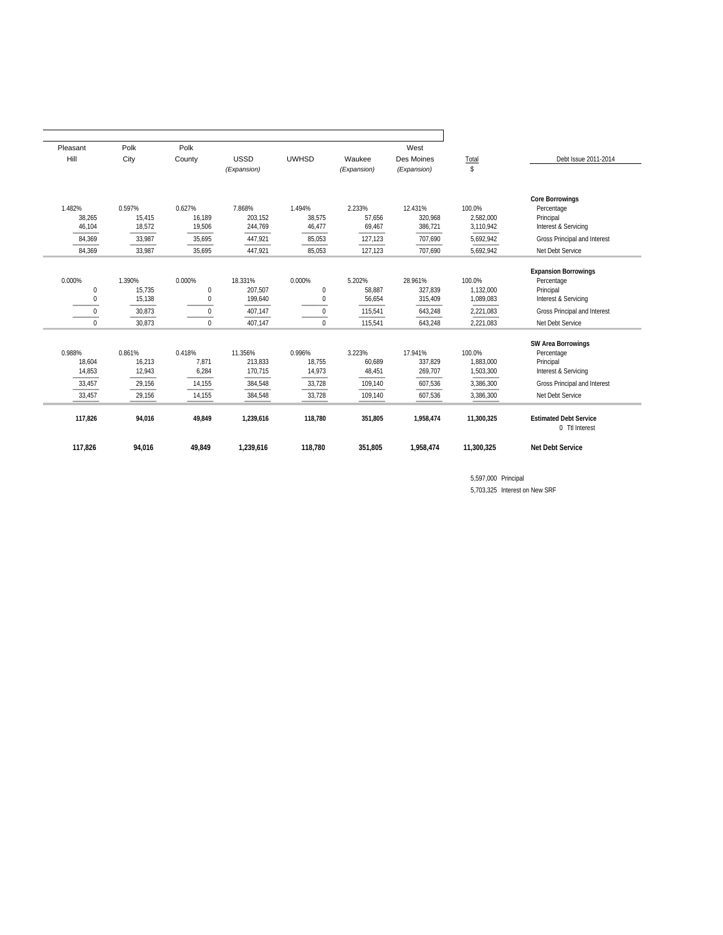| Pleasant    | Polk   | Polk         |                                       |              |             | West                   |            |                                                 |
|-------------|--------|--------------|---------------------------------------|--------------|-------------|------------------------|------------|-------------------------------------------------|
| Hill        | City   | County       | <b>USSD</b>                           | <b>UWHSD</b> | Waukee      | Des Moines             | Total      | Debt Issue 2011-2014                            |
|             |        |              | (Expansion)                           |              | (Expansion) | (Expansion)            | s.         |                                                 |
|             |        |              |                                       |              |             |                        |            |                                                 |
|             |        |              |                                       |              |             |                        |            |                                                 |
|             |        |              |                                       |              |             | <b>Core Borrowings</b> |            |                                                 |
| 1.482%      | 0.597% | 0.627%       | 7.868%<br>1.494%<br>2.233%<br>12.431% |              | 100.0%      | Percentage             |            |                                                 |
| 38,265      | 15,415 | 16,189       | 203,152                               | 38,575       | 57,656      | 320,968                | 2,582,000  | Principal                                       |
| 46,104      | 18,572 | 19,506       | 244,769                               | 46,477       | 69,467      | 386,721                | 3,110,942  | Interest & Servicing                            |
| 84,369      | 33,987 | 35,695       | 447,921                               | 85,053       | 127,123     | 707,690                | 5,692,942  | Gross Principal and Interest                    |
| 84,369      | 33,987 | 35,695       | 447,921                               | 85,053       | 127,123     | 707,690                | 5,692,942  | Net Debt Service                                |
|             |        |              |                                       |              |             |                        |            |                                                 |
|             |        |              |                                       |              |             |                        |            | <b>Expansion Borrowings</b>                     |
| 0.000%      | 1.390% | 0.000%       | 18.331%                               | 0.000%       | 5.202%      | 28.961%                | 100.0%     | Percentage                                      |
| $\mathbf 0$ | 15,735 | $\mathbf{0}$ | 207,507                               | $\mathbf{0}$ | 58.887      | 327.839                | 1.132.000  | Principal                                       |
|             | 15,138 | $\Omega$     | 199,640                               | $\Omega$     | 56,654      | 315,409                | 1,089,083  | Interest & Servicing                            |
| $\Omega$    | 30,873 | $\Omega$     | 407,147                               | $\Omega$     | 115,541     | 643,248                | 2,221,083  | Gross Principal and Interest                    |
| $\mathbf 0$ | 30,873 | $\mathbf 0$  | 407,147                               | $\mathbf{0}$ | 115,541     | 643,248                | 2,221,083  | Net Debt Service                                |
|             |        |              |                                       |              |             |                        |            |                                                 |
| 0.988%      | 0.861% | 0.418%       | 11.356%                               | 0.996%       | 3.223%      |                        | 100.0%     | <b>SW Area Borrowings</b>                       |
|             |        |              |                                       |              |             | 17.941%                |            | Percentage                                      |
| 18,604      | 16,213 | 7,871        | 213,833                               | 18,755       | 60,689      | 337,829                | 1,883,000  | Principal                                       |
| 14,853      | 12,943 | 6,284        | 170,715                               | 14,973       | 48,451      | 269,707                | 1,503,300  | Interest & Servicing                            |
| 33,457      | 29,156 | 14,155       | 384,548                               | 33,728       | 109,140     | 607,536                | 3,386,300  | Gross Principal and Interest                    |
| 33,457      | 29,156 | 14,155       | 384,548                               | 33,728       | 109,140     | 607,536                | 3,386,300  | Net Debt Service                                |
|             |        |              |                                       |              |             |                        |            |                                                 |
| 117,826     | 94,016 | 49,849       | 1,239,616                             | 118,780      | 351,805     | 1,958,474              | 11,300,325 | <b>Estimated Debt Service</b><br>0 Ttl Interest |
|             |        |              |                                       |              |             |                        |            |                                                 |
| 117.826     | 94,016 | 49.849       | 1.239.616                             | 118.780      | 351.805     | 1.958.474              | 11.300.325 | <b>Net Debt Service</b>                         |
|             |        |              |                                       |              |             |                        |            |                                                 |

5,597,000 Principal 5,703,325 Interest on New SRF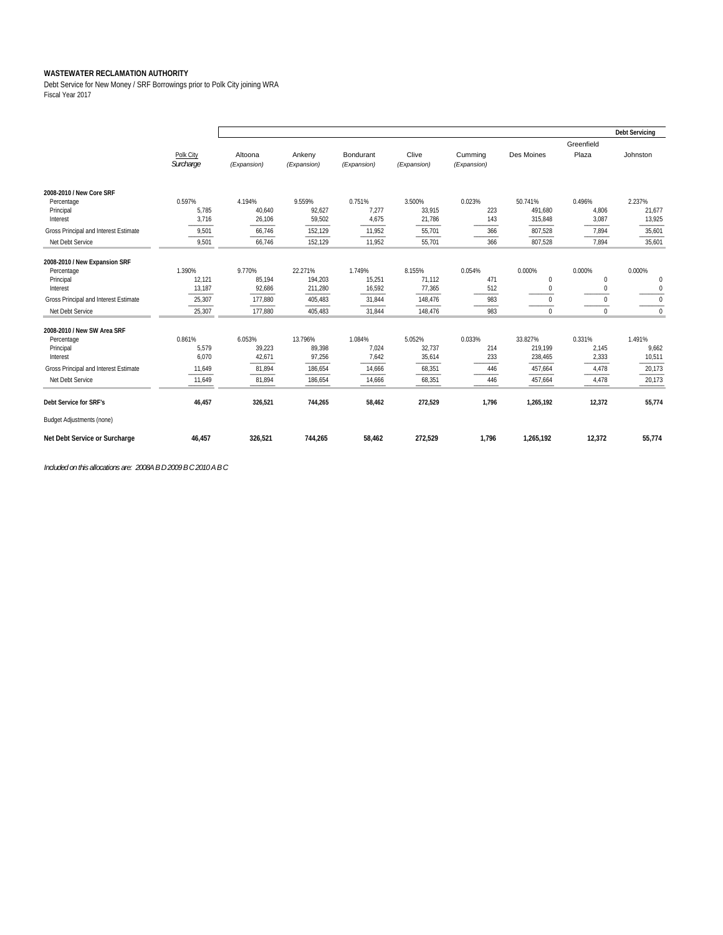Debt Service for New Money / SRF Borrowings prior to Polk City joining WRA Fiscal Year 2017

|                                       |                        |                        |                       |                          |                      |                        |             |                     | <b>Debt Servicing</b> |
|---------------------------------------|------------------------|------------------------|-----------------------|--------------------------|----------------------|------------------------|-------------|---------------------|-----------------------|
|                                       | Polk City<br>Surcharge | Altoona<br>(Expansion) | Ankeny<br>(Expansion) | Bondurant<br>(Expansion) | Clive<br>(Expansion) | Cumming<br>(Expansion) | Des Moines  | Greenfield<br>Plaza | Johnston              |
| 2008-2010 / New Core SRF              |                        |                        |                       |                          |                      |                        |             |                     |                       |
| Percentage                            | 0.597%                 | 4.194%                 | 9.559%                | 0.751%                   | 3.500%               | 0.023%                 | 50.741%     | 0.496%              | 2.237%                |
| Principal                             | 5,785                  | 40,640                 | 92,627                | 7,277                    | 33,915               | 223                    | 491,680     | 4,806               | 21,677                |
| Interest                              | 3,716                  | 26,106                 | 59,502                | 4,675                    | 21,786               | 143                    | 315,848     | 3,087               | 13,925                |
| Gross Principal and Interest Estimate | 9,501                  | 66,746                 | 152,129               | 11,952                   | 55,701               | 366                    | 807,528     | 7,894               | 35,601                |
| Net Debt Service                      | 9,501                  | 66,746                 | 152,129               | 11,952                   | 55,701               | 366                    | 807,528     | 7.894               | 35,601                |
| 2008-2010 / New Expansion SRF         |                        |                        |                       |                          |                      |                        |             |                     |                       |
| Percentage                            | 1.390%                 | 9.770%                 | 22.271%               | 1.749%                   | 8.155%               | 0.054%                 | 0.000%      | 0.000%              | 0.000%                |
| Principal                             | 12,121                 | 85,194                 | 194,203               | 15,251                   | 71,112               | 471                    | 0           | $\bf{0}$            | $\mathbf{0}$          |
| Interest                              | 13,187                 | 92,686                 | 211,280               | 16,592                   | 77,365               | 512                    | 0           | $\mathbf{0}$        | $\mathbf{0}$          |
| Gross Principal and Interest Estimate | 25,307                 | 177,880                | 405,483               | 31,844                   | 148,476              | 983                    | $\mathbf 0$ | $\mathbf{0}$        | $\mathbf{0}$          |
| Net Debt Service                      | 25,307                 | 177,880                | 405,483               | 31,844                   | 148,476              | 983                    | $\Omega$    | $\Omega$            | $\Omega$              |
| 2008-2010 / New SW Area SRF           |                        |                        |                       |                          |                      |                        |             |                     |                       |
| Percentage                            | 0.861%                 | 6.053%                 | 13.796%               | 1.084%                   | 5.052%               | 0.033%                 | 33.827%     | 0.331%              | 1.491%                |
| Principal                             | 5,579                  | 39,223                 | 89,398                | 7,024                    | 32,737               | 214                    | 219,199     | 2,145               | 9,662                 |
| Interest                              | 6,070                  | 42,671                 | 97,256                | 7,642                    | 35,614               | 233                    | 238,465     | 2,333               | 10,511                |
| Gross Principal and Interest Estimate | 11,649                 | 81,894                 | 186,654               | 14,666                   | 68,351               | 446                    | 457,664     | 4,478               | 20,173                |
| Net Debt Service                      | 11,649                 | 81,894                 | 186,654               | 14,666                   | 68,351               | 446                    | 457,664     | 4,478               | 20,173                |
| Debt Service for SRF's                | 46,457                 | 326,521                | 744,265               | 58,462                   | 272,529              | 1.796                  | 1,265,192   | 12,372              | 55,774                |
| <b>Budget Adjustments (none)</b>      |                        |                        |                       |                          |                      |                        |             |                     |                       |
| Net Debt Service or Surcharge         | 46,457                 | 326,521                | 744,265               | 58,462                   | 272,529              | 1,796                  | 1,265,192   | 12,372              | 55,774                |

*Included on this allocations are: 2008A B D 2009 B C 2010 A B C*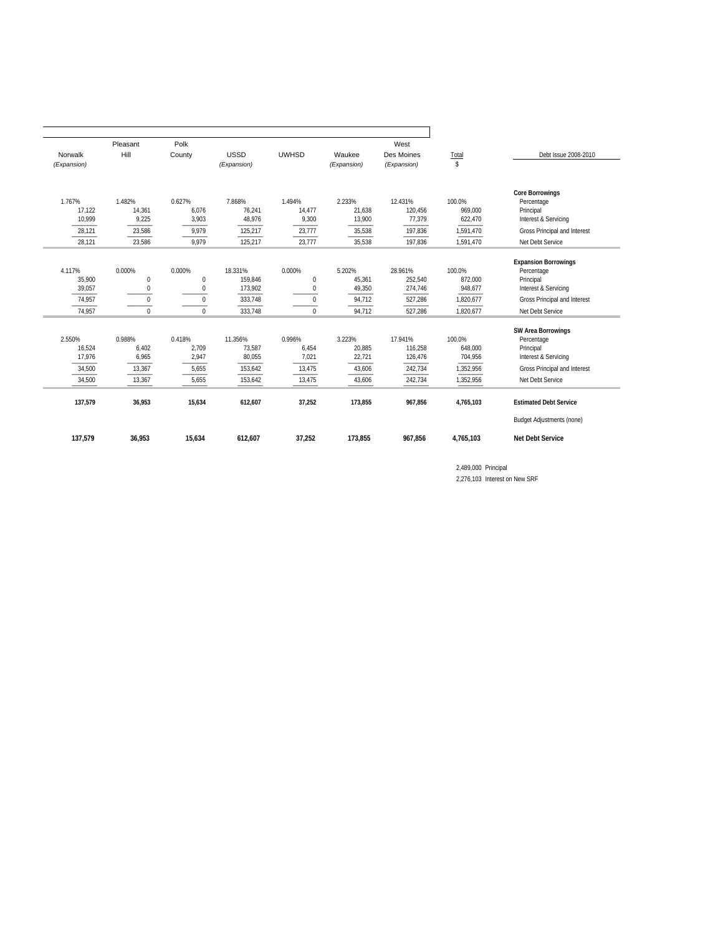|                                | Pleasant                              | Polk                        |                               |                                |                            | West                          |                              |                                                                                |
|--------------------------------|---------------------------------------|-----------------------------|-------------------------------|--------------------------------|----------------------------|-------------------------------|------------------------------|--------------------------------------------------------------------------------|
| Hill<br>Norwalk<br>(Expansion) |                                       | County                      | <b>USSD</b><br>(Expansion)    | <b>UWHSD</b>                   | Waukee<br>(Expansion)      | Des Moines<br>(Expansion)     | Total<br>\$                  | Debt Issue 2008-2010                                                           |
| 1.767%<br>17,122<br>10,999     | 1.482%<br>14,361<br>9,225             | 0.627%<br>6,076<br>3,903    | 7.868%<br>76,241<br>48,976    | 1.494%<br>14,477<br>9,300      | 2.233%<br>21,638<br>13,900 | 12.431%<br>120,456<br>77,379  | 100.0%<br>969,000<br>622,470 | <b>Core Borrowings</b><br>Percentage<br>Principal<br>Interest & Servicing      |
| 28,121                         | 23,586                                | 9,979                       | 125,217                       | 23,777                         | 35,538                     | 197,836                       | 1,591,470                    | Gross Principal and Interest                                                   |
| 28.121                         | 23,586                                | 9.979                       | 125,217                       | 23,777                         | 35,538                     | 197,836                       | 1.591.470                    | Net Debt Service                                                               |
| 4.117%<br>35,900<br>39,057     | 0.000%<br>$\mathbf 0$<br>$\mathbf{0}$ | 0.000%<br>0<br>$\mathbf{0}$ | 18.331%<br>159,846<br>173,902 | 0.000%<br>$\bf{0}$<br>$\bf{0}$ | 5.202%<br>45,361<br>49,350 | 28.961%<br>252,540<br>274,746 | 100.0%<br>872,000<br>948,677 | <b>Expansion Borrowings</b><br>Percentage<br>Principal<br>Interest & Servicing |
| 74,957                         | $\Omega$                              | $\Omega$                    | 333,748                       | $\Omega$                       | 94,712                     | 527,286                       | 1,820,677                    | Gross Principal and Interest                                                   |
| 74,957                         | $\Omega$                              | $\Omega$                    | 333,748                       | $\Omega$                       | 94,712                     | 527,286                       | 1,820,677                    | Net Debt Service                                                               |
| 2.550%<br>16,524<br>17.976     | 0.988%<br>6,402<br>6,965              | 0.418%<br>2,709<br>2,947    | 11.356%<br>73,587<br>80,055   | 0.996%<br>6,454<br>7,021       | 3.223%<br>20,885<br>22,721 | 17.941%<br>116,258<br>126,476 | 100.0%<br>648,000<br>704,956 | <b>SW Area Borrowings</b><br>Percentage<br>Principal<br>Interest & Servicing   |
| 34,500                         | 13,367                                | 5,655                       | 153,642                       | 13,475                         | 43,606                     | 242,734                       | 1,352,956                    | Gross Principal and Interest                                                   |
| 34,500                         | 13,367                                | 5,655                       | 153,642                       | 13,475                         | 43,606                     | 242,734                       | 1,352,956                    | Net Debt Service                                                               |
| 137,579                        | 36,953                                | 15,634                      | 612,607                       | 37,252                         | 173,855                    | 967,856                       | 4,765,103                    | <b>Estimated Debt Service</b>                                                  |
|                                |                                       |                             |                               |                                |                            |                               |                              | <b>Budget Adjustments (none)</b>                                               |
| 137,579                        | 36.953                                | 15.634                      | 612,607                       | 37,252                         | 173.855                    | 967.856                       | 4.765.103                    | <b>Net Debt Service</b>                                                        |

2,489,000 Principal 2,276,103 Interest on New SRF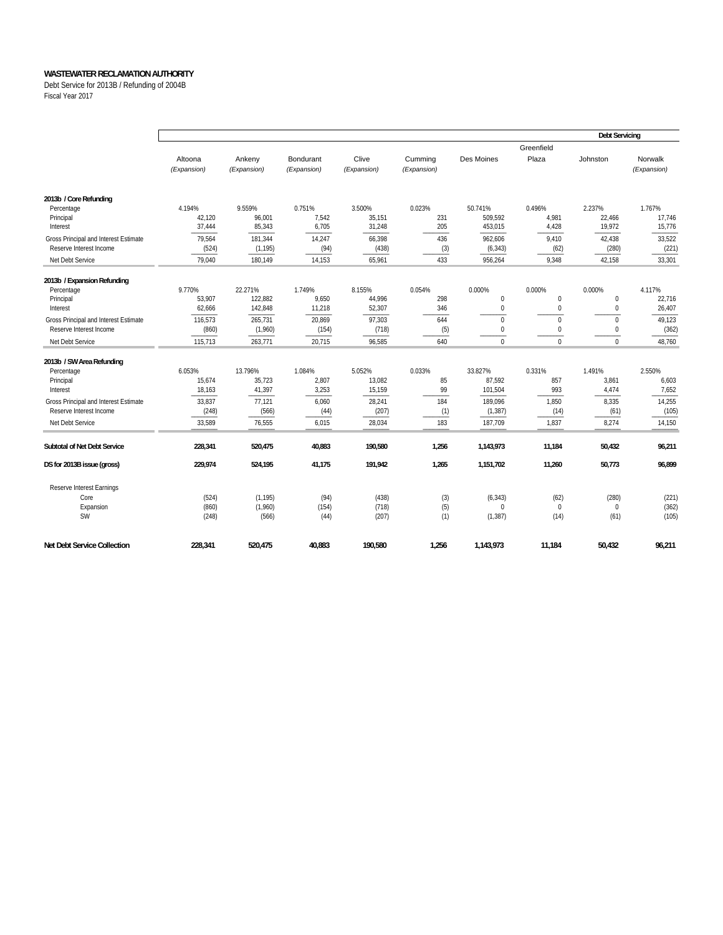Debt Service for 2013B / Refunding of 2004B Fiscal Year 2017

|                                                                                                                                                          |                                                         |                                                          |                                                    |                                                         |                                         |                                                                |                                                 | <b>Debt Servicing</b>                              |                                                       |
|----------------------------------------------------------------------------------------------------------------------------------------------------------|---------------------------------------------------------|----------------------------------------------------------|----------------------------------------------------|---------------------------------------------------------|-----------------------------------------|----------------------------------------------------------------|-------------------------------------------------|----------------------------------------------------|-------------------------------------------------------|
|                                                                                                                                                          | Altoona<br>(Expansion)                                  | Ankeny<br>(Expansion)                                    | Bondurant<br>(Expansion)                           | Clive<br>(Expansion)                                    | Cumming<br>(Expansion)                  | Des Moines                                                     | Greenfield<br>Plaza                             | Johnston                                           | Norwalk<br>(Expansion)                                |
| 2013b / Core Refunding<br>Percentage<br>Principal<br>Interest                                                                                            | 4.194%<br>42,120<br>37,444                              | 9.559%<br>96,001<br>85,343                               | 0.751%<br>7,542<br>6,705                           | 3.500%<br>35,151<br>31,248                              | 0.023%<br>231<br>205                    | 50.741%<br>509,592<br>453,015                                  | 0.496%<br>4,981<br>4,428                        | 2.237%<br>22,466<br>19,972                         | 1.767%<br>17,746<br>15,776                            |
| Gross Principal and Interest Estimate<br>Reserve Interest Income                                                                                         | 79,564<br>(524)                                         | 181,344<br>(1, 195)                                      | 14,247<br>(94)                                     | 66,398<br>(438)                                         | 436<br>(3)                              | 962,606<br>(6, 343)                                            | 9,410<br>(62)                                   | 42,438<br>(280)                                    | 33,522<br>(221)                                       |
| Net Debt Service                                                                                                                                         | 79,040                                                  | 180,149                                                  | 14,153                                             | 65,961                                                  | 433                                     | 956,264                                                        | 9,348                                           | 42,158                                             | 33,301                                                |
| 2013b / Expansion Refunding<br>Percentage<br>Principal<br>Interest                                                                                       | 9.770%<br>53,907<br>62,666                              | 22.271%<br>122,882<br>142,848                            | 1.749%<br>9,650<br>11,218                          | 8.155%<br>44,996<br>52,307                              | 0.054%<br>298<br>346                    | 0.000%<br>$\mathbf 0$<br>$\mathbf 0$                           | 0.000%<br>$\mathbf{0}$<br>$\mathbf 0$           | 0.000%<br>$\mathbf 0$<br>$\mathbf 0$               | 4.117%<br>22,716<br>26,407                            |
| Gross Principal and Interest Estimate<br>Reserve Interest Income<br>Net Debt Service                                                                     | 116.573<br>(860)<br>115,713                             | 265.731<br>(1,960)<br>263.771                            | 20,869<br>(154)<br>20.715                          | 97,303<br>(718)<br>96,585                               | 644<br>(5)<br>640                       | $\mathbf 0$<br>$\pmb{0}$<br>$\mathbf{0}$                       | $\mathbf 0$<br>$\boldsymbol{0}$<br>$\mathbf{0}$ | $\mathbf 0$<br>$\mathbf 0$<br>$\mathbf{0}$         | 49,123<br>(362)<br>48,760                             |
| 2013b / SW Area Refunding<br>Percentage<br>Principal<br>Interest<br>Gross Principal and Interest Estimate<br>Reserve Interest Income<br>Net Debt Service | 6.053%<br>15,674<br>18,163<br>33,837<br>(248)<br>33,589 | 13.796%<br>35,723<br>41,397<br>77,121<br>(566)<br>76,555 | 1.084%<br>2,807<br>3,253<br>6,060<br>(44)<br>6,015 | 5.052%<br>13,082<br>15,159<br>28,241<br>(207)<br>28,034 | 0.033%<br>85<br>99<br>184<br>(1)<br>183 | 33.827%<br>87,592<br>101,504<br>189,096<br>(1, 387)<br>187,709 | 0.331%<br>857<br>993<br>1,850<br>(14)<br>1,837  | 1.491%<br>3,861<br>4,474<br>8,335<br>(61)<br>8,274 | 2.550%<br>6,603<br>7,652<br>14,255<br>(105)<br>14,150 |
| Subtotal of Net Debt Service                                                                                                                             | 228,341                                                 | 520,475                                                  | 40,883                                             | 190,580                                                 | 1,256                                   | 1,143,973                                                      | 11,184                                          | 50,432                                             | 96,211                                                |
| DS for 2013B issue (gross)                                                                                                                               | 229,974                                                 | 524,195                                                  | 41,175                                             | 191,942                                                 | 1,265                                   | 1,151,702                                                      | 11,260                                          | 50,773                                             | 96,899                                                |
| Reserve Interest Earnings<br>Core<br>Expansion<br><b>SW</b>                                                                                              | (524)<br>(860)<br>(248)                                 | (1, 195)<br>(1,960)<br>(566)                             | (94)<br>(154)<br>(44)                              | (438)<br>(718)<br>(207)                                 | (3)<br>(5)<br>(1)                       | (6, 343)<br>$\Omega$<br>(1, 387)                               | (62)<br>$\mathbf{0}$<br>(14)                    | (280)<br>$\mathbf 0$<br>(61)                       | (221)<br>(362)<br>(105)                               |
| <b>Net Debt Service Collection</b>                                                                                                                       | 228,341                                                 | 520,475                                                  | 40,883                                             | 190,580                                                 | 1,256                                   | 1,143,973                                                      | 11,184                                          | 50,432                                             | 96,211                                                |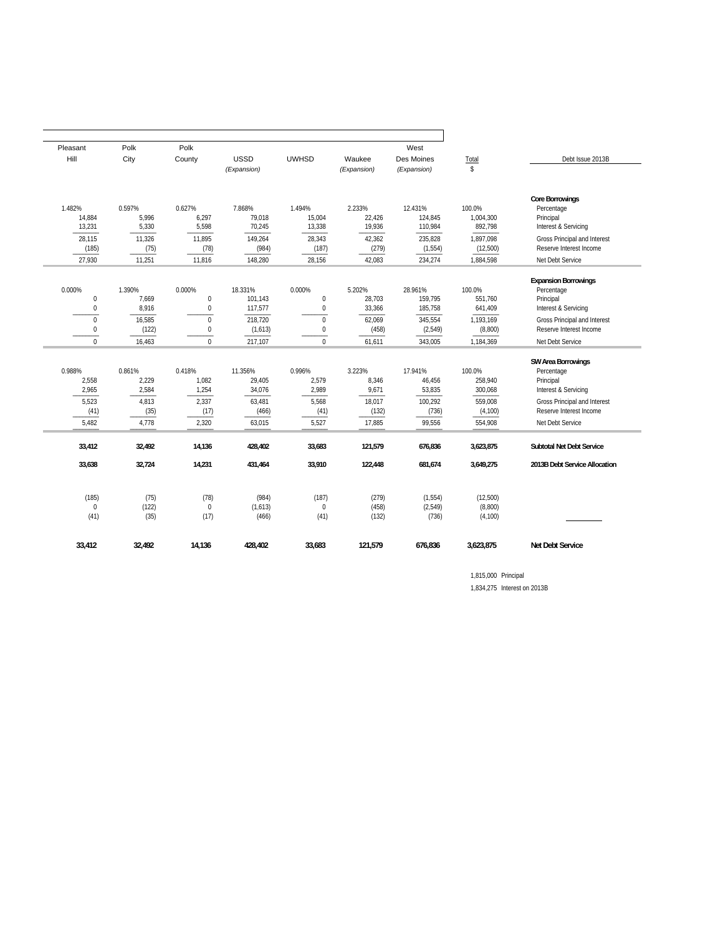| Pleasant                   | Polk                     | Polk                        |                             |                              | West                       |                               |                                 |                                                                              |
|----------------------------|--------------------------|-----------------------------|-----------------------------|------------------------------|----------------------------|-------------------------------|---------------------------------|------------------------------------------------------------------------------|
| Hill                       | City                     | County                      | <b>USSD</b>                 | <b>UWHSD</b>                 | Waukee                     | Des Moines                    | Total                           | Debt Issue 2013B                                                             |
|                            |                          |                             | (Expansion)                 |                              | (Expansion)                | (Expansion)                   | $\mathsf{s}$                    |                                                                              |
|                            |                          |                             |                             |                              |                            |                               |                                 |                                                                              |
| 1.482%<br>14,884<br>13,231 | 0.597%<br>5,996<br>5,330 | 0.627%<br>6,297<br>5,598    | 7.868%<br>79,018<br>70,245  | 1.494%<br>15,004<br>13,338   | 2.233%<br>22,426<br>19,936 | 12.431%<br>124,845<br>110,984 | 100.0%<br>1,004,300<br>892,798  | <b>Core Borrowings</b><br>Percentage<br>Principal<br>Interest & Servicing    |
| 28,115<br>(185)            | 11,326<br>(75)           | 11,895<br>(78)              | 149,264<br>(984)            | 28,343<br>(187)              | 42,362<br>(279)            | 235,828<br>(1, 554)           | 1,897,098<br>(12,500)           | Gross Principal and Interest<br>Reserve Interest Income                      |
| 27,930                     | 11,251                   | 11,816                      | 148,280                     | 28,156                       | 42,083                     | 234,274                       | 1,884,598                       | Net Debt Service                                                             |
| 0.000%<br>$\mathbf 0$      | 1.390%<br>7.669          | 0.000%<br>$\mathbf{0}$      | 18.331%<br>101,143          | 0.000%<br>$\mathbf 0$        | 5.202%<br>28.703           | 28.961%<br>159.795            | 100.0%<br>551.760               | <b>Expansion Borrowings</b><br>Percentage<br>Principal                       |
| $\mathbf 0$                | 8,916                    | $\boldsymbol{0}$            | 117,577                     | $\boldsymbol{0}$             | 33,366                     | 185,758                       | 641,409                         | Interest & Servicing                                                         |
| $\Omega$<br>$\mathbf 0$    | 16,585<br>(122)          | $\Omega$<br>$\mathbf{0}$    | 218,720<br>(1,613)          | $\mathbf{0}$<br>0            | 62,069<br>(458)            | 345,554<br>(2, 549)           | 1,193,169<br>(8,800)            | Gross Principal and Interest<br>Reserve Interest Income                      |
| $\Omega$                   | 16,463                   | $\Omega$                    | 217,107                     | $\Omega$                     | 61,611                     | 343,005                       | 1,184,369                       | Net Debt Service                                                             |
| 0.988%<br>2,558<br>2,965   | 0.861%<br>2,229<br>2,584 | 0.418%<br>1,082<br>1,254    | 11.356%<br>29,405<br>34,076 | 0.996%<br>2,579<br>2,989     | 3.223%<br>8,346<br>9,671   | 17.941%<br>46.456<br>53,835   | 100.0%<br>258.940<br>300,068    | <b>SW Area Borrowings</b><br>Percentage<br>Principal<br>Interest & Servicing |
| 5,523<br>(41)<br>5,482     | 4,813<br>(35)<br>4,778   | 2,337<br>(17)<br>2,320      | 63,481<br>(466)<br>63,015   | 5,568<br>(41)<br>5,527       | 18,017<br>(132)<br>17,885  | 100,292<br>(736)<br>99,556    | 559,008<br>(4, 100)<br>554,908  | Gross Principal and Interest<br>Reserve Interest Income<br>Net Debt Service  |
| 33.412                     | 32.492                   | 14.136                      | 428.402                     | 33.683                       | 121.579                    | 676.836                       | 3,623,875                       | <b>Subtotal Net Debt Service</b>                                             |
| 33,638                     | 32,724                   | 14,231                      | 431,464                     | 33,910                       | 122,448                    | 681,674                       | 3,649,275                       | 2013B Debt Service Allocation                                                |
| (185)<br>$\Omega$<br>(41)  | (75)<br>(122)<br>(35)    | (78)<br>$\mathbf 0$<br>(17) | (984)<br>(1,613)<br>(466)   | (187)<br>$\mathbf 0$<br>(41) | (279)<br>(458)<br>(132)    | (1,554)<br>(2,549)<br>(736)   | (12,500)<br>(8,800)<br>(4, 100) |                                                                              |
| 33,412                     | 32,492                   | 14,136                      | 428,402                     | 33,683                       | 121,579                    | 676,836                       | 3,623,875                       | <b>Net Debt Service</b>                                                      |

1,815,000 Principal 1,834,275 Interest on 2013B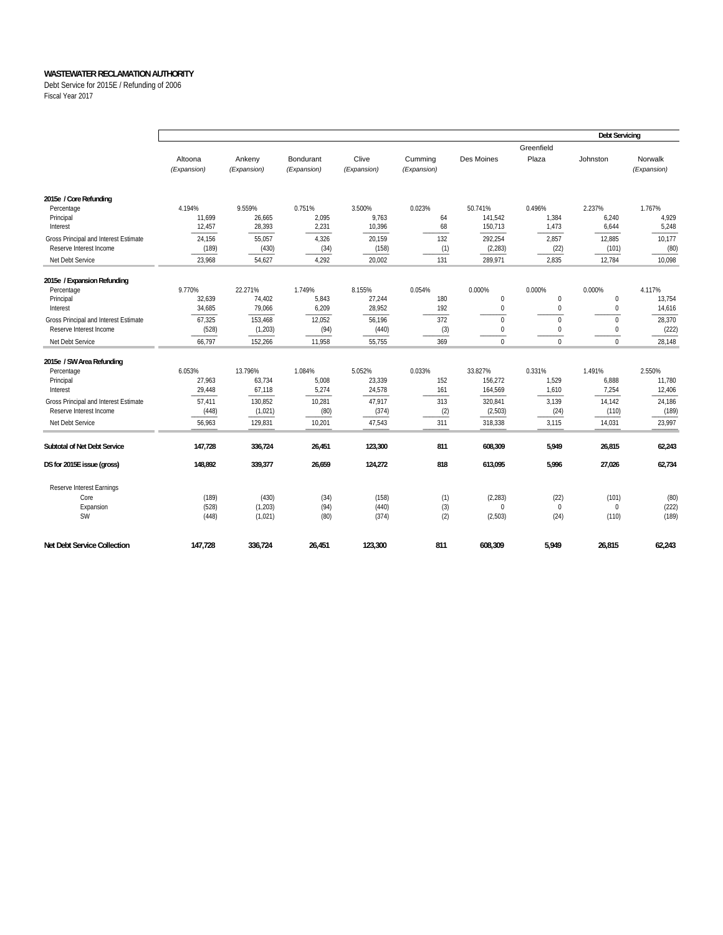Debt Service for 2015E / Refunding of 2006 Fiscal Year 2017

|                                                                                                                                                          |                                                         |                                                              | <b>Debt Servicing</b>                                |                                                         |                                           |                                                                 |                                                    |                                                       |                                                         |
|----------------------------------------------------------------------------------------------------------------------------------------------------------|---------------------------------------------------------|--------------------------------------------------------------|------------------------------------------------------|---------------------------------------------------------|-------------------------------------------|-----------------------------------------------------------------|----------------------------------------------------|-------------------------------------------------------|---------------------------------------------------------|
|                                                                                                                                                          | Altoona<br>(Expansion)                                  | Ankeny<br>(Expansion)                                        | Bondurant<br>(Expansion)                             | Clive<br>(Expansion)                                    | Cumming<br>(Expansion)                    | Des Moines                                                      | Greenfield<br>Plaza                                | Johnston                                              | Norwalk<br>(Expansion)                                  |
| 2015e / Core Refunding<br>Percentage<br>Principal<br>Interest                                                                                            | 4.194%<br>11,699<br>12,457                              | 9.559%<br>26,665<br>28,393                                   | 0.751%<br>2,095<br>2,231                             | 3.500%<br>9,763<br>10,396                               | 0.023%<br>64<br>68                        | 50.741%<br>141,542<br>150,713                                   | 0.496%<br>1,384<br>1,473                           | 2.237%<br>6,240<br>6,644                              | 1.767%<br>4,929<br>5,248                                |
| Gross Principal and Interest Estimate<br>Reserve Interest Income                                                                                         | 24.156<br>(189)                                         | 55.057<br>(430)                                              | 4,326<br>(34)                                        | 20,159<br>(158)                                         | 132<br>(1)                                | 292.254<br>(2, 283)                                             | 2.857<br>(22)                                      | 12,885<br>(101)                                       | 10,177<br>(80)                                          |
| Net Debt Service                                                                                                                                         | 23,968                                                  | 54,627                                                       | 4,292                                                | 20,002                                                  | 131                                       | 289,971                                                         | 2,835                                              | 12,784                                                | 10,098                                                  |
| 2015e / Expansion Refunding<br>Percentage<br>Principal<br>Interest                                                                                       | 9.770%<br>32,639<br>34,685                              | 22.271%<br>74,402<br>79,066                                  | 1.749%<br>5,843<br>6,209                             | 8.155%<br>27,244<br>28,952                              | 0.054%<br>180<br>192                      | 0.000%<br>0<br>0                                                | 0.000%<br>$\mathbf{0}$<br>$\boldsymbol{0}$         | 0.000%<br>$\mathbf 0$<br>$\mathbf 0$                  | 4.117%<br>13,754<br>14,616                              |
| Gross Principal and Interest Estimate<br>Reserve Interest Income<br>Net Debt Service                                                                     | 67,325<br>(528)<br>66,797                               | 153,468<br>(1, 203)<br>152,266                               | 12,052<br>(94)<br>11,958                             | 56,196<br>(440)<br>55,755                               | 372<br>(3)<br>369                         | $\mathbf 0$<br>0<br>$\Omega$                                    | $\mathbf{0}$<br>$\bf 0$<br>$\Omega$                | $\Omega$<br>$\mathbf 0$<br>$\Omega$                   | 28,370<br>(222)<br>28,148                               |
| 2015e / SW Area Refunding<br>Percentage<br>Principal<br>Interest<br>Gross Principal and Interest Estimate<br>Reserve Interest Income<br>Net Debt Service | 6.053%<br>27,963<br>29,448<br>57,411<br>(448)<br>56,963 | 13.796%<br>63,734<br>67,118<br>130,852<br>(1,021)<br>129,831 | 1.084%<br>5,008<br>5,274<br>10,281<br>(80)<br>10,201 | 5.052%<br>23,339<br>24,578<br>47,917<br>(374)<br>47,543 | 0.033%<br>152<br>161<br>313<br>(2)<br>311 | 33.827%<br>156,272<br>164,569<br>320,841<br>(2, 503)<br>318,338 | 0.331%<br>1,529<br>1,610<br>3,139<br>(24)<br>3,115 | 1.491%<br>6,888<br>7,254<br>14,142<br>(110)<br>14,031 | 2.550%<br>11,780<br>12,406<br>24,186<br>(189)<br>23,997 |
| Subtotal of Net Debt Service                                                                                                                             | 147,728                                                 | 336,724                                                      | 26,451                                               | 123,300                                                 | 811                                       | 608,309                                                         | 5,949                                              | 26,815                                                | 62,243                                                  |
| DS for 2015E issue (gross)                                                                                                                               | 148,892                                                 | 339,377                                                      | 26,659                                               | 124,272                                                 | 818                                       | 613,095                                                         | 5,996                                              | 27,026                                                | 62,734                                                  |
| Reserve Interest Earnings<br>Core<br>Expansion<br><b>SW</b>                                                                                              | (189)<br>(528)<br>(448)                                 | (430)<br>(1, 203)<br>(1,021)                                 | (34)<br>(94)<br>(80)                                 | (158)<br>(440)<br>(374)                                 | (1)<br>(3)<br>(2)                         | (2, 283)<br>$\Omega$<br>(2,503)                                 | (22)<br>$\mathbf{0}$<br>(24)                       | (101)<br>$\mathbf 0$<br>(110)                         | (80)<br>(222)<br>(189)                                  |
| <b>Net Debt Service Collection</b>                                                                                                                       | 147,728                                                 | 336,724                                                      | 26,451                                               | 123,300                                                 | 811                                       | 608,309                                                         | 5,949                                              | 26,815                                                | 62,243                                                  |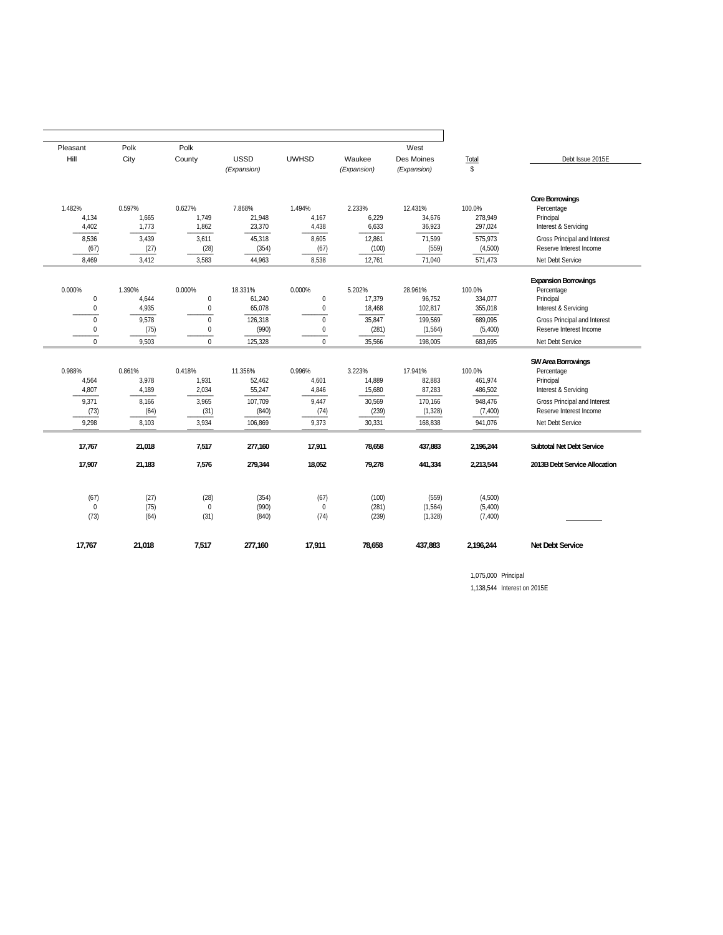| Pleasant                              | Polk                     | Polk                                           |                             |                                           |                            | West                           |                                |                                                                                |
|---------------------------------------|--------------------------|------------------------------------------------|-----------------------------|-------------------------------------------|----------------------------|--------------------------------|--------------------------------|--------------------------------------------------------------------------------|
| Hill                                  | City                     | County                                         | <b>USSD</b>                 | <b>UWHSD</b>                              | Waukee                     | Des Moines                     | Total                          | Debt Issue 2015E                                                               |
|                                       |                          |                                                | (Expansion)                 |                                           | (Expansion)                | (Expansion)                    | $\mathbb{S}$                   |                                                                                |
|                                       |                          |                                                |                             |                                           |                            |                                |                                |                                                                                |
| 1.482%<br>4,134<br>4,402              | 0.597%<br>1,665<br>1,773 | 0.627%<br>1,749<br>1,862                       | 7.868%<br>21,948<br>23,370  | 1.494%<br>4,167<br>4,438                  | 2.233%<br>6,229<br>6,633   | 12.431%<br>34,676<br>36,923    | 100.0%<br>278,949<br>297,024   | <b>Core Borrowings</b><br>Percentage<br>Principal<br>Interest & Servicing      |
| 8,536<br>(67)                         | 3,439<br>(27)            | 3,611<br>(28)                                  | 45,318<br>(354)             | 8,605<br>(67)                             | 12,861<br>(100)            | 71,599<br>(559)                | 575,973<br>(4,500)             | Gross Principal and Interest<br>Reserve Interest Income                        |
| 8.469                                 | 3.412                    | 3,583                                          | 44,963                      | 8.538                                     | 12,761                     | 71,040                         | 571,473                        | Net Debt Service                                                               |
| 0.000%<br>$\mathbf 0$<br>$\mathbf{0}$ | 1.390%<br>4,644<br>4,935 | 0.000%<br>$\boldsymbol{0}$<br>$\boldsymbol{0}$ | 18.331%<br>61,240<br>65,078 | 0.000%<br>$\boldsymbol{0}$<br>$\mathbf 0$ | 5.202%<br>17,379<br>18,468 | 28.961%<br>96,752<br>102,817   | 100.0%<br>334,077<br>355,018   | <b>Expansion Borrowings</b><br>Percentage<br>Principal<br>Interest & Servicing |
| $\Omega$<br>0<br>$\Omega$             | 9,578<br>(75)<br>9.503   | $\mathbf{0}$<br>$\boldsymbol{0}$<br>$\theta$   | 126,318<br>(990)<br>125,328 | $\Omega$<br>$\mathbf 0$<br>$\Omega$       | 35,847<br>(281)<br>35,566  | 199,569<br>(1, 564)            | 689,095<br>(5,400)<br>683,695  | Gross Principal and Interest<br>Reserve Interest Income<br>Net Debt Service    |
|                                       |                          |                                                |                             |                                           |                            | 198,005                        |                                |                                                                                |
| 0.988%<br>4,564<br>4,807              | 0.861%<br>3.978<br>4,189 | 0.418%<br>1.931<br>2,034                       | 11.356%<br>52.462<br>55,247 | 0.996%<br>4.601<br>4,846                  | 3.223%<br>14,889<br>15,680 | 17.941%<br>82.883<br>87,283    | 100.0%<br>461.974<br>486,502   | SW Area Borrowings<br>Percentage<br>Principal<br>Interest & Servicing          |
| 9.371<br>(73)<br>9,298                | 8.166<br>(64)<br>8,103   | 3.965<br>(31)<br>3,934                         | 107.709<br>(840)<br>106,869 | 9.447<br>(74)<br>9,373                    | 30,569<br>(239)<br>30,331  | 170,166<br>(1, 328)<br>168,838 | 948,476<br>(7, 400)<br>941,076 | Gross Principal and Interest<br>Reserve Interest Income<br>Net Debt Service    |
|                                       |                          |                                                |                             |                                           |                            |                                |                                |                                                                                |
| 17,767                                | 21,018                   | 7,517                                          | 277,160                     | 17,911                                    | 78,658                     | 437,883                        | 2,196,244                      | <b>Subtotal Net Debt Service</b>                                               |
| 17,907                                | 21,183                   | 7,576                                          | 279,344                     | 18,052                                    | 79,278                     | 441,334                        | 2,213,544                      | 2013B Debt Service Allocation                                                  |
| (67)<br>$\Omega$<br>(73)              | (27)<br>(75)<br>(64)     | (28)<br>$\mathbf 0$<br>(31)                    | (354)<br>(990)<br>(840)     | (67)<br>$\mathbf 0$<br>(74)               | (100)<br>(281)<br>(239)    | (559)<br>(1, 564)<br>(1, 328)  | (4,500)<br>(5,400)<br>(7, 400) |                                                                                |
| 17,767                                | 21,018                   | 7,517                                          | 277,160                     | 17,911                                    | 78,658                     | 437,883                        | 2,196,244                      | <b>Net Debt Service</b>                                                        |

1,075,000 Principal 1,138,544 Interest on 2015E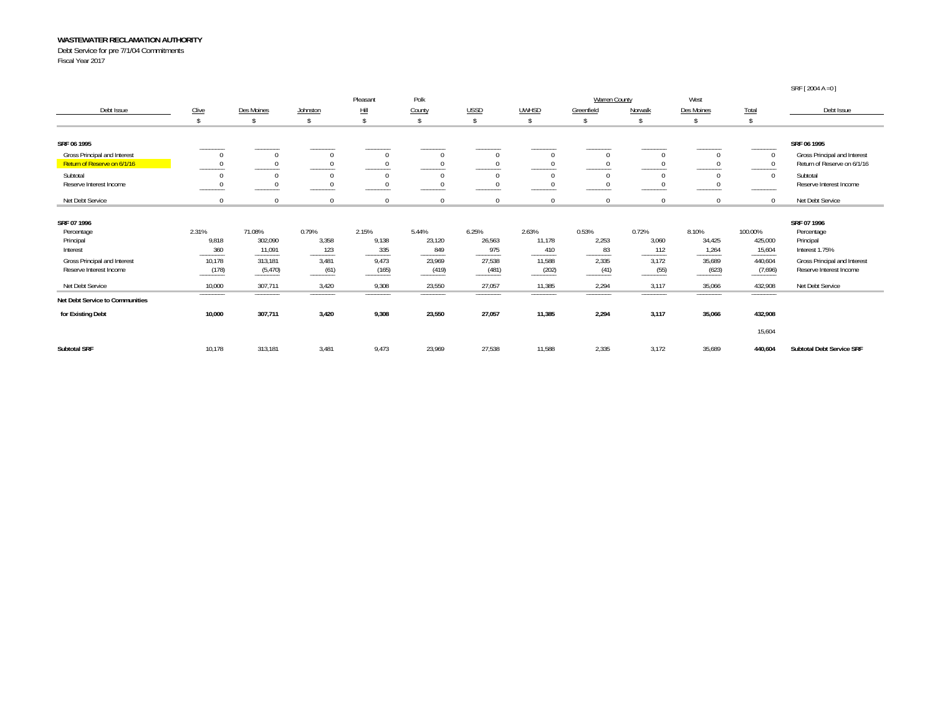Debt Service for pre 7/1/04 Commitments

Fiscal Year 2017

|                                 |               |                   |                    |                   |                |                                      |                 |                   |                    |                                            |                                | SRF [ 2004 A = 0 ]               |
|---------------------------------|---------------|-------------------|--------------------|-------------------|----------------|--------------------------------------|-----------------|-------------------|--------------------|--------------------------------------------|--------------------------------|----------------------------------|
|                                 |               |                   |                    | Pleasant          | Polk           |                                      |                 | Warren County     |                    | West                                       |                                |                                  |
| Debt Issue                      | Clive         | Des Moines        | Johnston           | Hill              | County         | <b>USSD</b>                          | <b>UWHSD</b>    | Greenfield        | Norwalk            | Des Moines                                 | <b>Total</b>                   | Debt Issue                       |
|                                 |               |                   | $\mathbf{\hat{S}}$ |                   |                | Ŝ.                                   | s.              | $\mathsf{\$}$     | $\mathbf{\hat{S}}$ | $\mathcal{S}$                              | $\mathbf{\hat{s}}$             |                                  |
| SRF 06 1995                     |               |                   |                    |                   |                |                                      |                 |                   |                    |                                            |                                | SRF 06 1995                      |
| Gross Principal and Interest    |               |                   | $\Omega$           |                   | $\Omega$       |                                      | $\mathbf 0$     | $\Omega$          | $\mathbf{0}$       | $\Omega$                                   |                                | Gross Principal and Interest     |
| Return of Reserve on 6/1/16     |               |                   | $\Omega$           |                   |                |                                      | $\Omega$        |                   | $\Omega$           |                                            |                                | Return of Reserve on 6/1/16      |
| Subtotal                        |               |                   | $\Omega$           | $\Omega$          | $\Omega$       | $\Omega$                             | $\Omega$        | $\Omega$          | $\Omega$           | $\mathbf{0}$                               | $\Omega$                       | Subtotal                         |
| Reserve Interest Income         |               |                   | $\Omega$           |                   | $\Omega$       |                                      | $\Omega$        | $\Omega$          | $\Omega$           |                                            |                                | Reserve Interest Income          |
| Net Debt Service                | $\Omega$      |                   | $\mathbf 0$        | 0                 | $\Omega$       |                                      | $\Omega$        | $\Omega$          | $\Omega$           | $\Omega$                                   | $\Omega$                       | Net Debt Service                 |
| SRF 07 1996                     |               |                   |                    |                   |                |                                      |                 |                   |                    |                                            |                                | SRF 07 1996                      |
| Percentage                      | 2.31%         | 71.08%            | 0.79%              | 2.15%             | 5.44%          | 6.25%                                | 2.63%           | 0.53%             | 0.72%              | 8.10%                                      | 100.00%                        | Percentage                       |
| Principal                       | 9,818         | 302,090           | 3,358              | 9,138             | 23,120         | 26,563                               | 11,178          | 2,253             | 3,060              | 34,425                                     | 425,000                        | Principal                        |
| Interest                        | 360<br>______ | 11,091<br>_______ | 123<br>--------    | 335<br>_______    | 849<br>_______ | 975                                  | 410<br>-------- | 83<br>______      | 112<br>______      | 1,264<br>_______                           | 15,604<br>--------             | Interest 1.75%                   |
| Gross Principal and Interest    | 10,178        | 313,181           | 3,481              | 9,473             | 23,969         | 27,538                               | 11,588          | 2,335             | 3,172              | 35,689                                     | 440,604                        | Gross Principal and Interest     |
| Reserve Interest Income         | (178)         | (5, 470)          | (61)               | (165)             | (419)          | (481)                                | (202)           | (41)              | (55)               | (623)                                      | (7,696)                        | Reserve Interest Income          |
| Net Debt Service                | 10,000        | 307,711           | 3,420              | 9,308             | 23,550         | 27,057                               | 11,385          | 2,294             | 3,117              | 35,066                                     | 432,908                        | Net Debt Service                 |
| Net Debt Service to Communities | _______       | _______           | _______            | <b>CONTRACTOR</b> | ______         | <b>Service Controller Controller</b> | _______         | <b>CONTRACTOR</b> | <b>CONTRACTOR</b>  | <b>Contract Contract Contract Contract</b> | <b>Service Control Control</b> |                                  |
| for Existing Debt               | 10,000        | 307,711           | 3,420              | 9,308             | 23,550         | 27,057                               | 11,385          | 2,294             | 3,117              | 35,066                                     | 432,908                        |                                  |
|                                 |               |                   |                    |                   |                |                                      |                 |                   |                    |                                            | 15,604                         |                                  |
| <b>Subtotal SRF</b>             | 10,178        | 313,181           | 3,481              | 9,473             | 23,969         | 27,538                               | 11,588          | 2,335             | 3,172              | 35,689                                     | 440,604                        | <b>Subtotal Debt Service SRF</b> |